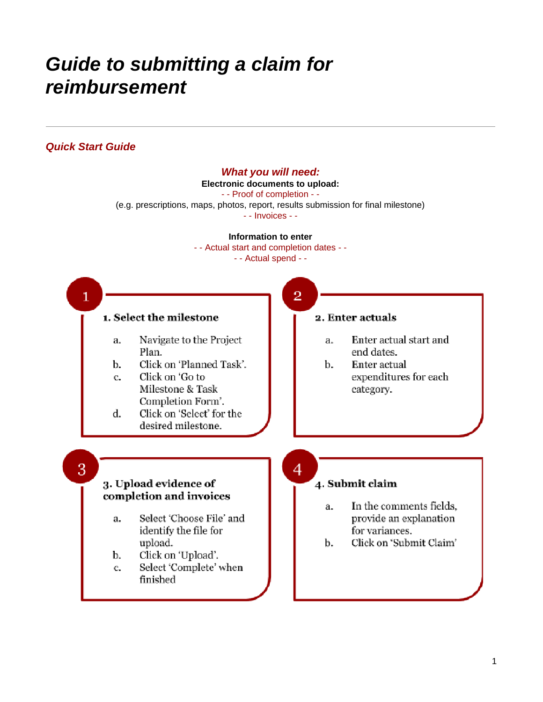# *Guide to submitting a claim for reimbursement*

## *Quick Start Guide*

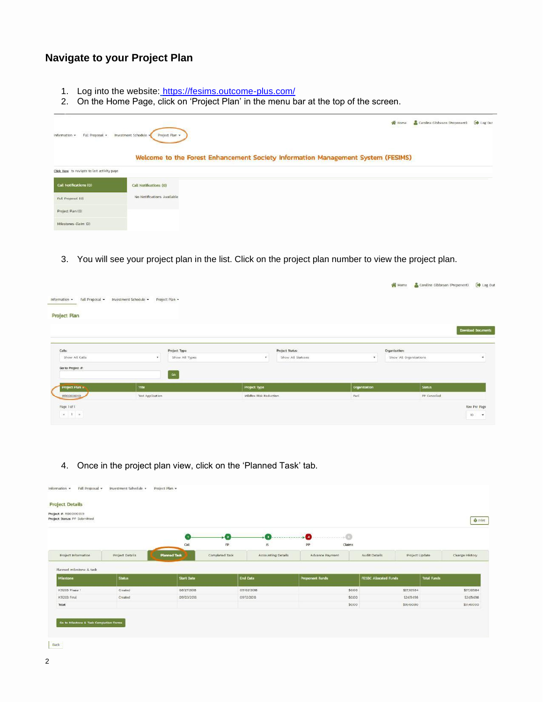### **Navigate to your Project Plan**

- 1. Log into the website: <https://fesims.outcome-plus.com/>
- 2. On the Home Page, click on 'Project Plan' in the menu bar at the top of the screen.

| Full Proposal<br>information +               | Investment Schedule<br>Project Plan | N Home<br><b>SERVICE</b><br>Welcome to the Forest Enhancement Society Information Management System (FESIMS) | Caroline Gibbeson (Proponent) [ Log Out |  |
|----------------------------------------------|-------------------------------------|--------------------------------------------------------------------------------------------------------------|-----------------------------------------|--|
| Click Here to navigate to last activity page |                                     |                                                                                                              |                                         |  |
| Call Notifications (O)                       | Call Notifications (O)              |                                                                                                              |                                         |  |
| Full Proposal (0)                            | No Notifications Available          |                                                                                                              |                                         |  |
| Project Plan (0)                             |                                     |                                                                                                              |                                         |  |
| Milestones-Claim (O)                         |                                     |                                                                                                              |                                         |  |

3. You will see your project plan in the list. Click on the project plan number to view the project plan.

|                                                     |                       |                |                         |                   |              |                        | Home Caroline Gibbeson (Proponent) | <b>Com</b> Log Out                                        |
|-----------------------------------------------------|-----------------------|----------------|-------------------------|-------------------|--------------|------------------------|------------------------------------|-----------------------------------------------------------|
| Full Proposal -<br>Information -                    | Investment Schedule - | Project Plan   |                         |                   |              |                        |                                    |                                                           |
| Project Plan                                        |                       |                |                         |                   |              |                        |                                    |                                                           |
|                                                     |                       |                |                         |                   |              |                        |                                    | <b>Download Documents</b>                                 |
| Calls:                                              |                       | Project Type:  |                         | Project Status:   |              | Organization           |                                    |                                                           |
| Show All Calls                                      | $\mathbf{v}$          | Show All Types | $\tau$                  | Show All Statuses | $\tau$       | Show All Organizations |                                    | $\bullet$                                                 |
| Go to Project #                                     |                       | Go             |                         |                   |              |                        |                                    |                                                           |
| <b>Project Plan a</b>                               | Title                 |                | Project Type            |                   | Organization |                        | <b>Status</b>                      |                                                           |
| WR0000099                                           | Test Application      |                | Wildfire Risk Reduction |                   | PWC          |                        | <b>PP</b> Cancelled                |                                                           |
| Page 1 of T<br>$\mathcal{H}=\mathbb{T}$ .<br><br>is |                       |                |                         |                   |              |                        |                                    | <b>STERN STATE</b><br>Row Per Page<br>10<br>$\mathcal{R}$ |

4. Once in the project plan view, click on the 'Planned Task' tab.

| Project #: RB0000359<br>Project Status: PP Submitted |                 |                                               |                                  |                                 |                              | <b>G</b> Print                   |
|------------------------------------------------------|-----------------|-----------------------------------------------|----------------------------------|---------------------------------|------------------------------|----------------------------------|
|                                                      |                 | - 2                                           | -0-                              | ------------- <b>-</b>          |                              |                                  |
| Project Information                                  | Project Details | Call<br><b>Planned Task</b><br>Completed Task | FP.<br>is.<br>Accounting Details | pp<br>Claims<br>Advance Payment | Audit Details                | Change History<br>Project Update |
|                                                      |                 |                                               |                                  |                                 |                              |                                  |
| Planned milestone & task                             |                 |                                               |                                  |                                 |                              |                                  |
| Milestone                                            | <b>Status</b>   | <b>Start Date</b>                             | <b>End Date</b>                  | <b>Proponent Funds</b>          | <b>FESBC Allocated Funds</b> | <b>Total Funds</b>               |
| K51203 Phase 1                                       | Created         | 08/27/2018                                    | 09/02/2018                       | \$0.00                          | \$27,305.84                  | \$27,305.B4                      |
| K51203 Final                                         | Created         | 09/03/2016                                    | 05/12/2018                       | \$0.00                          | \$24154.96                   | \$24,754.96                      |
| Total                                                |                 |                                               |                                  | \$0.00                          | \$51,460.80                  | \$51,460.80                      |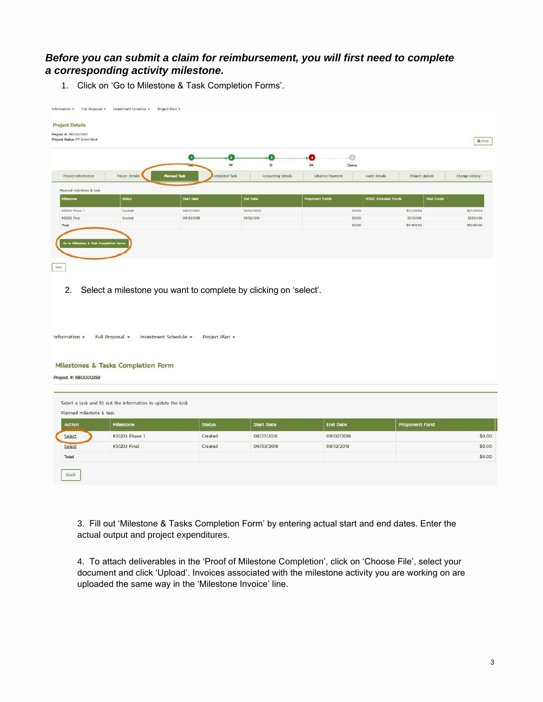#### *Before you can submit a claim for reimbursement, you will first need to complete a corresponding activity milestone.*

1. Click on 'Go to Milestone & Task Completion Forms'.

|                          |                 | -0<br>G                                      | -0                             | (1)<br>$\cdot$                  |                                 |                    |
|--------------------------|-----------------|----------------------------------------------|--------------------------------|---------------------------------|---------------------------------|--------------------|
| Project Information      | Project Details | PP.<br><b>Planned Task</b><br>Completed Task | в<br><b>Accounting Details</b> | PP<br>Claims<br>Advance Payment | Audit Details<br>Project Update | Change History     |
| Planned milestone & task |                 |                                              |                                |                                 |                                 |                    |
| <b>Milestone</b>         | <b>Status</b>   | <b>Start Date</b>                            | <b>End Date</b>                | <b>Proponent Funds</b>          | <b>FESBC Allocated Funds</b>    | <b>Total Funds</b> |
| K51203 Phase 1           | Created         | 08/27/2018                                   | 09/02/2018                     | 5000                            | \$27,305.84                     | \$27305.84         |
|                          |                 | 09/03/2018                                   | 09/12/2018                     | \$0.00                          | \$24.154.96                     | \$24,154.96        |
| K51203 Final             | Created         |                                              |                                |                                 |                                 |                    |

2. Select a milestone you want to complete by clicking on 'select'.

| Information - | Full Proposal - | Investment Schedule - | Project Plan - |
|---------------|-----------------|-----------------------|----------------|

#### Milestones & Tasks Completion Form

Project #: RB0000359

| Action | Milestone      | <b>Status</b> | <b>Start Date</b> | <b>End Date</b> | <b>Proponent Fund</b> |
|--------|----------------|---------------|-------------------|-----------------|-----------------------|
| Select | K51203 Phase 1 | Created       | 08/27/2018        | 09/02/2018      | \$0.00                |
| Select | K51203 Final   | Created       | 09/03/2018        | 09/12/2018      | \$0.00                |
| Total  |                |               |                   |                 | \$0.00                |

3. Fill out 'Milestone & Tasks Completion Form' by entering actual start and end dates. Enter the actual output and project expenditures.

4. To attach deliverables in the 'Proof of Milestone Completion', click on 'Choose File', select your document and click 'Upload'. Invoices associated with the milestone activity you are working on are uploaded the same way in the 'Milestone Invoice' line.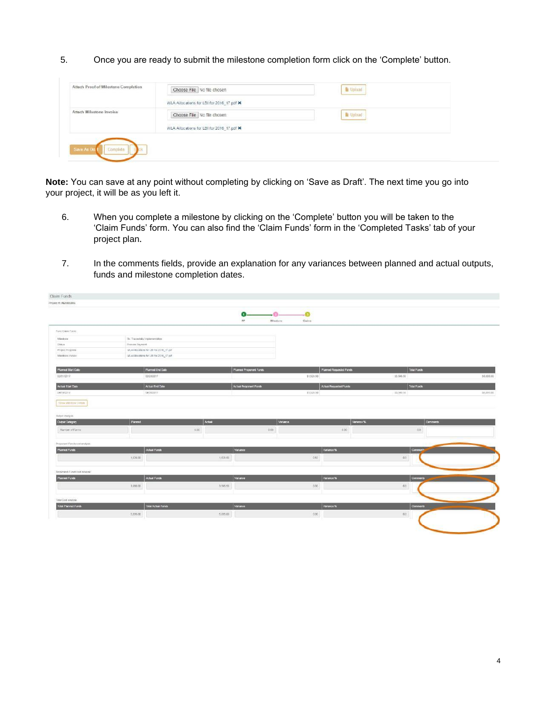5. Once you are ready to submit the milestone completion form click on the 'Complete' button.

| Attach Proof of Milestone Completion | Choose File No file chosen                | Lipload                         |
|--------------------------------------|-------------------------------------------|---------------------------------|
|                                      | WLA Allocations for LBI for 2016_17 pdf X |                                 |
| Attach Milestone Invoice             | Choose File No file chosen                | Upload                          |
|                                      | WLA Allocations for LBI for 2016 17 pdf X | the property of the property of |

**Note:** You can save at any point without completing by clicking on 'Save as Draft'. The next time you go into your project, it will be as you left it.

- 6. When you complete a milestone by clicking on the 'Complete' button you will be taken to the 'Claim Funds' form. You can also find the 'Claim Funds' form in the 'Completed Tasks' tab of your project plan.
- 7. In the comments fields, provide an explanation for any variances between planned and actual outputs, funds and milestone completion dates.

| Yoject #: IN20000066                                                                                                                                                                   |                                          |          |                         |                             |                         |                      |           |
|----------------------------------------------------------------------------------------------------------------------------------------------------------------------------------------|------------------------------------------|----------|-------------------------|-----------------------------|-------------------------|----------------------|-----------|
|                                                                                                                                                                                        |                                          |          | -0-<br>Ω<br>pp          | $-0$<br>Mitestone<br>Claims |                         |                      |           |
| Ford Cleim Form:                                                                                                                                                                       |                                          |          |                         |                             |                         |                      |           |
| Miestone                                                                                                                                                                               | 36 Tracentally treplementations          |          |                         |                             |                         |                      |           |
| 59838                                                                                                                                                                                  | Process Payment                          |          |                         |                             |                         |                      |           |
| Project Progress                                                                                                                                                                       | WLA Allocations for LBI for 2016_17 pdf. |          |                         |                             |                         |                      |           |
| Manstons Invoice                                                                                                                                                                       | WLA Altocolona for LBI for 2016_17 pdf.  |          |                         |                             |                         |                      |           |
| <b>Planned Start Date</b>                                                                                                                                                              | Planned End Date                         |          | Planned Proponent Funds |                             | Planned Requested Funds | Total Funds          |           |
| 02/01/2017                                                                                                                                                                             | 03/28/2017                               |          |                         | \$1,528.50                  |                         | \$3,566.50           | 35,095.00 |
| Actual Start Date                                                                                                                                                                      | Actual End Date                          |          | Actual Proponent Funds  |                             | Actual Requested Funds  | <b>Total Funds</b>   |           |
| 04/19/2017                                                                                                                                                                             | 04/30/2017                               |          |                         | \$1,526.50                  |                         | \$3,588.50           | 55,055.00 |
| <b>STOWAND WORKS</b>                                                                                                                                                                   |                                          |          |                         |                             |                         |                      |           |
| <b>Clubsic Analysis</b><br><b>Dutput Category</b>                                                                                                                                      | Planned                                  | Artist   |                         | Variance                    | Variance %              | <b>Commerts</b>      |           |
|                                                                                                                                                                                        |                                          | 0.00     | 0.00                    |                             | $-0.00$                 | 00.                  |           |
|                                                                                                                                                                                        |                                          |          |                         |                             |                         |                      |           |
|                                                                                                                                                                                        | <b>Actual Funds</b>                      |          | Variance                |                             | Valuece %               | Comment <sup>*</sup> |           |
|                                                                                                                                                                                        | 1,529.00                                 | 1,626.60 |                         | 0.60                        |                         | $00$                 |           |
|                                                                                                                                                                                        |                                          |          |                         |                             |                         |                      |           |
|                                                                                                                                                                                        | Actual Funds                             |          | Variance                |                             | Variance %              | <b>Commerts</b>      |           |
|                                                                                                                                                                                        | 3,566.50                                 | 3,095.50 |                         | 000                         |                         | 00                   |           |
|                                                                                                                                                                                        |                                          |          |                         |                             |                         |                      |           |
|                                                                                                                                                                                        | <b>Total Actual Funds</b>                |          | variance                |                             | Variance %              | <b>Commerts</b>      |           |
| Namber of Farms:<br>Proponent Funds cost analyse<br><b>Planned Funds</b><br>Requested Funds cost analysis<br><b>Planned Funds</b><br>Total Cost analysis<br><b>Total Planned Funds</b> | 5.056.00                                 | 5,095.00 |                         | 0.00                        |                         | no                   |           |